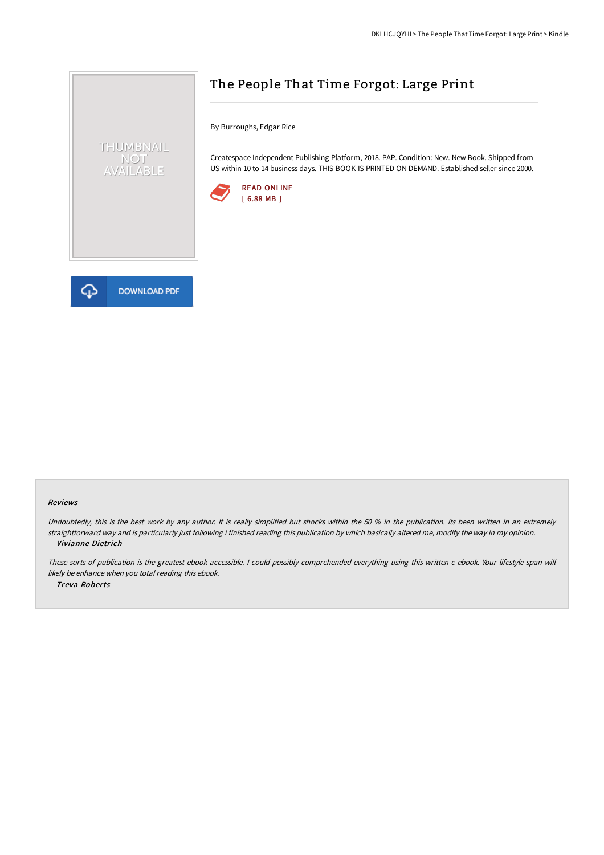

## The People That Time Forgot: Large Print

By Burroughs, Edgar Rice

Createspace Independent Publishing Platform, 2018. PAP. Condition: New. New Book. Shipped from US within 10 to 14 business days. THIS BOOK IS PRINTED ON DEMAND. Established seller since 2000.



## Reviews

Undoubtedly, this is the best work by any author. It is really simplified but shocks within the 50 % in the publication. Its been written in an extremely straightforward way and is particularly just following i finished reading this publication by which basically altered me, modify the way in my opinion. -- Vivianne Dietrich

These sorts of publication is the greatest ebook accessible. <sup>I</sup> could possibly comprehended everything using this written <sup>e</sup> ebook. Your lifestyle span will likely be enhance when you total reading this ebook. -- Treva Roberts